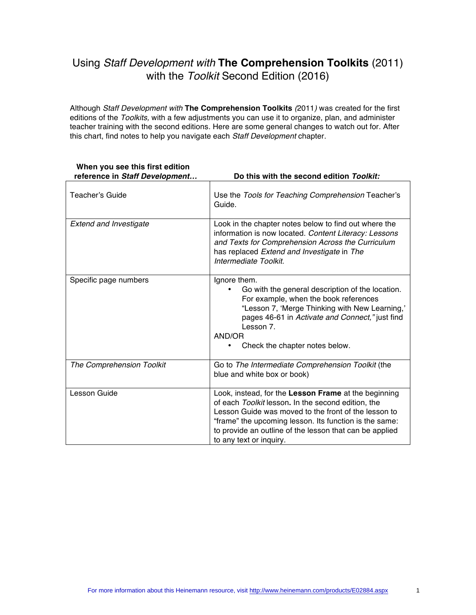# Using *Staff Development with* **The Comprehension Toolkits** (2011) with the *Toolkit* Second Edition (2016)

Although *Staff Development with* **The Comprehension Toolkits** *(*2011*)* was created for the first editions of the *Toolkits,* with a few adjustments you can use it to organize, plan, and administer teacher training with the second editions. Here are some general changes to watch out for. After this chart, find notes to help you navigate each *Staff Development* chapter.

| reference in Staff Development | Do this with the second edition Toolkit:                                                                                                                                                                                                                                                                           |
|--------------------------------|--------------------------------------------------------------------------------------------------------------------------------------------------------------------------------------------------------------------------------------------------------------------------------------------------------------------|
| Teacher's Guide                | Use the Tools for Teaching Comprehension Teacher's<br>Guide.                                                                                                                                                                                                                                                       |
| <b>Extend and Investigate</b>  | Look in the chapter notes below to find out where the<br>information is now located. Content Literacy: Lessons<br>and Texts for Comprehension Across the Curriculum<br>has replaced Extend and Investigate in The<br>Intermediate Toolkit.                                                                         |
| Specific page numbers          | Ignore them.<br>Go with the general description of the location.<br>For example, when the book references<br>"Lesson 7, 'Merge Thinking with New Learning,'<br>pages 46-61 in Activate and Connect," just find<br>Lesson 7.<br>AND/OR<br>Check the chapter notes below.                                            |
| The Comprehension Toolkit      | Go to The Intermediate Comprehension Toolkit (the<br>blue and white box or book)                                                                                                                                                                                                                                   |
| Lesson Guide                   | Look, instead, for the Lesson Frame at the beginning<br>of each Toolkit lesson. In the second edition, the<br>Lesson Guide was moved to the front of the lesson to<br>"frame" the upcoming lesson. Its function is the same:<br>to provide an outline of the lesson that can be applied<br>to any text or inquiry. |

# **When you see this first edition**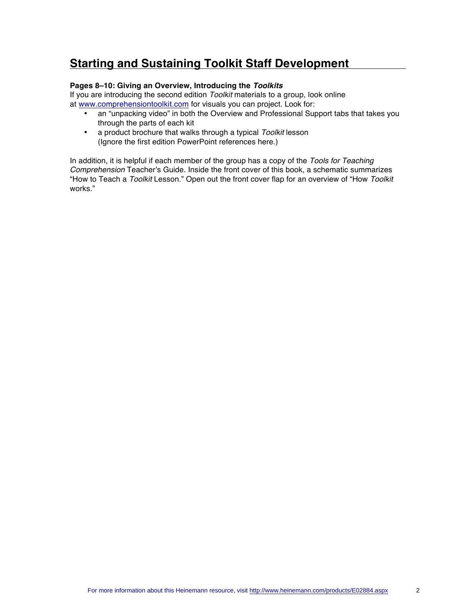# **Starting and Sustaining Toolkit Staff Development**

### **Pages 8–10: Giving an Overview, Introducing the** *Toolkits*

If you are introducing the second edition *Toolkit* materials to a group, look online at [www.comprehensiontoolkit.com](http://www.comprehensiontoolkit.com) for visuals you can project. Look for:

- an "unpacking video" in both the Overview and Professional Support tabs that takes you through the parts of each kit
- a product brochure that walks through a typical *Toolkit* lesson (Ignore the first edition PowerPoint references here.)

In addition, it is helpful if each member of the group has a copy of the *Tools for Teaching Comprehension* Teacher's Guide. Inside the front cover of this book, a schematic summarizes "How to Teach a *Toolkit* Lesson." Open out the front cover flap for an overview of "How *Toolkit* works."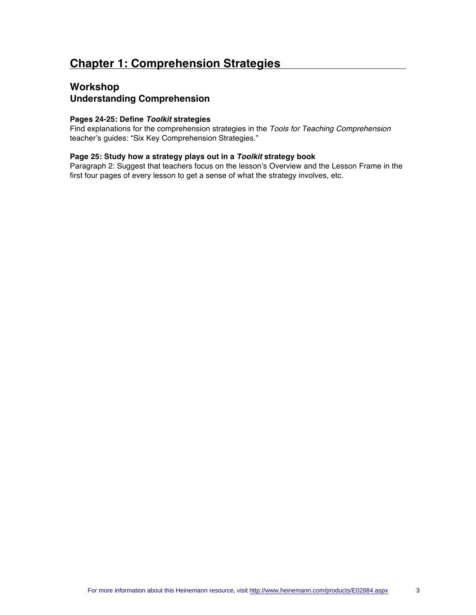# **Workshop Understanding Comprehension**

### **Pages 24-25: Define** *Toolkit* **strategies**

Find explanations for the comprehension strategies in the *Tools for Teaching Comprehension* teacher's guides: "Six Key Comprehension Strategies."

### **Page 25: Study how a strategy plays out in a** *Toolkit* **strategy book**

Paragraph 2: Suggest that teachers focus on the lesson's Overview and the Lesson Frame in the first four pages of every lesson to get a sense of what the strategy involves, etc.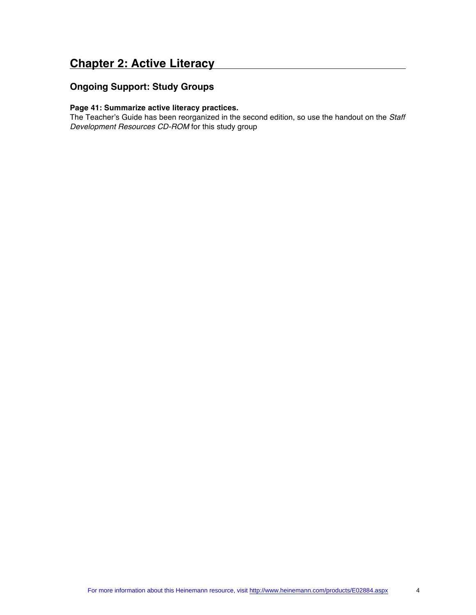# **Chapter 2: Active Literacy**

# **Ongoing Support: Study Groups**

### **Page 41: Summarize active literacy practices.**

The Teacher's Guide has been reorganized in the second edition, so use the handout on the *Staff Development Resources CD-ROM* for this study group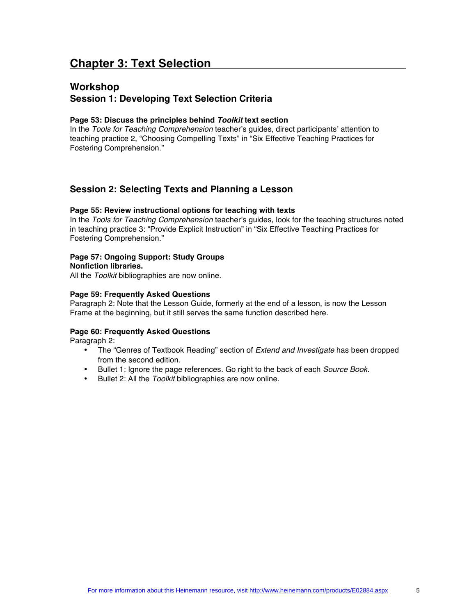# **Chapter 3: Text Selection**

## **Workshop Session 1: Developing Text Selection Criteria**

### **Page 53: Discuss the principles behind** *Toolkit* **text section**

In the *Tools for Teaching Comprehension* teacher's guides, direct participants' attention to teaching practice 2, "Choosing Compelling Texts" in "Six Effective Teaching Practices for Fostering Comprehension."

## **Session 2: Selecting Texts and Planning a Lesson**

### **Page 55: Review instructional options for teaching with texts**

In the *Tools for Teaching Comprehension* teacher's guides, look for the teaching structures noted in teaching practice 3: "Provide Explicit Instruction" in "Six Effective Teaching Practices for Fostering Comprehension."

### **Page 57: Ongoing Support: Study Groups**

**Nonfiction libraries.** 

All the *Toolkit* bibliographies are now online.

### **Page 59: Frequently Asked Questions**

Paragraph 2: Note that the Lesson Guide, formerly at the end of a lesson, is now the Lesson Frame at the beginning, but it still serves the same function described here.

### **Page 60: Frequently Asked Questions**

Paragraph 2:

- The "Genres of Textbook Reading" section of *Extend and Investigate* has been dropped from the second edition.
- Bullet 1: Ignore the page references. Go right to the back of each *Source Book.*
- Bullet 2: All the *Toolkit* bibliographies are now online.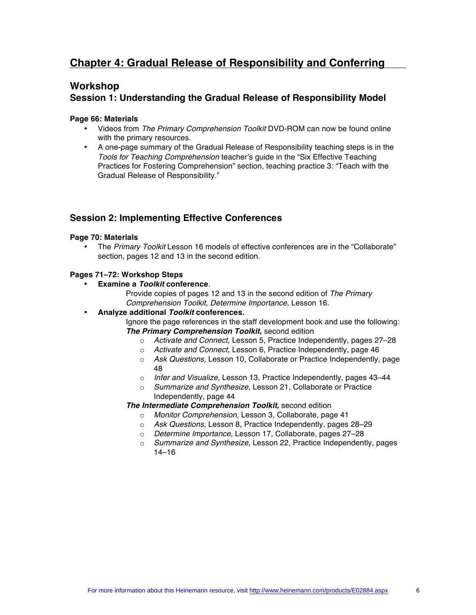# **Chapter 4: Gradual Release of Responsibility and Conferring**

# **Workshop**

# **Session 1: Understanding the Gradual Release of Responsibility Model**

### **Page 66: Materials**

- Videos from *The Primary Comprehension Toolkit* DVD-ROM can now be found online with the primary resources.
- A one-page summary of the Gradual Release of Responsibility teaching steps is in the *Tools for Teaching Comprehension* teacher's guide in the "Six Effective Teaching Practices for Fostering Comprehension" section, teaching practice 3: "Teach with the Gradual Release of Responsibility."

## **Session 2: Implementing Effective Conferences**

### **Page 70: Materials**

• The *Primary Toolkit* Lesson 16 models of effective conferences are in the "Collaborate" section, pages 12 and 13 in the second edition.

### **Pages 71–72: Workshop Steps**

### • **Examine a** *Toolkit* **conference**.

Provide copies of pages 12 and 13 in the second edition of *The Primary Comprehension Toolkit*, *Determine Importance*, Lesson 16.

### • **Analyze additional** *Toolkit* **conferences.**

Ignore the page references in the staff development book and use the following: *The Primary Comprehension Toolkit,* second edition

- o *Activate and Connect,* Lesson 5, Practice Independently, pages 27–28
- o *Activate and Connect,* Lesson 6, Practice Independently, page 46
- o *Ask Questions,* Lesson 10, Collaborate or Practice Independently, page 48
- o *Infer and Visualize,* Lesson 13, Practice Independently, pages 43–44
- o *Summarize and Synthesize,* Lesson 21, Collaborate or Practice Independently, page 44

### *The Intermediate Comprehension Toolkit,* second edition

- o *Monitor Comprehension,* Lesson 3, Collaborate, page 41
- o *Ask Questions,* Lesson 8, Practice Independently, pages 28–29
- o *Determine Importance,* Lesson 17, Collaborate, pages 27–28
- o *Summarize and Synthesize,* Lesson 22, Practice Independently, pages 14–16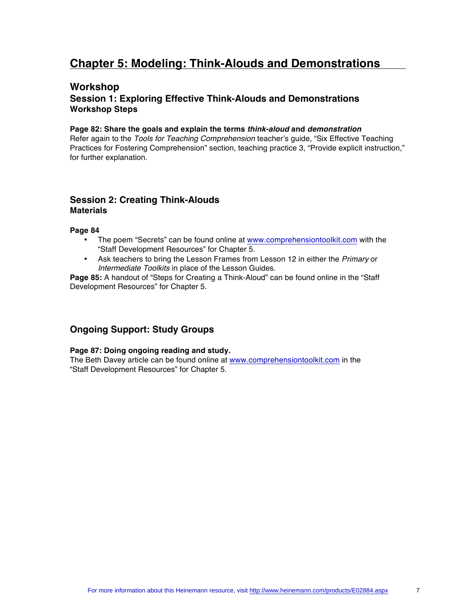# **Chapter 5: Modeling: Think-Alouds and Demonstrations**

## **Workshop Session 1: Exploring Effective Think-Alouds and Demonstrations Workshop Steps**

#### **Page 82: Share the goals and explain the terms** *think-aloud* **and** *demonstration*

Refer again to the *Tools for Teaching Comprehension* teacher's guide, "Six Effective Teaching Practices for Fostering Comprehension" section, teaching practice 3, "Provide explicit instruction," for further explanation.

### **Session 2: Creating Think-Alouds Materials**

### **Page 84**

- The poem "Secrets" can be found online at [www.comprehensiontoolkit.com](http://www.comprehensiontoolkit.com) with the "Staff Development Resources" for Chapter 5.
- Ask teachers to bring the Lesson Frames from Lesson 12 in either the *Primary* or *Intermediate Toolkits* in place of the Lesson Guides.

**Page 85:** A handout of "Steps for Creating a Think-Aloud" can be found online in the "Staff Development Resources" for Chapter 5.

## **Ongoing Support: Study Groups**

### **Page 87: Doing ongoing reading and study.**

The Beth Davey article can be found online at [www.comprehensiontoolkit.com](http://www.comprehensiontoolkit.com) in the "Staff Development Resources" for Chapter 5.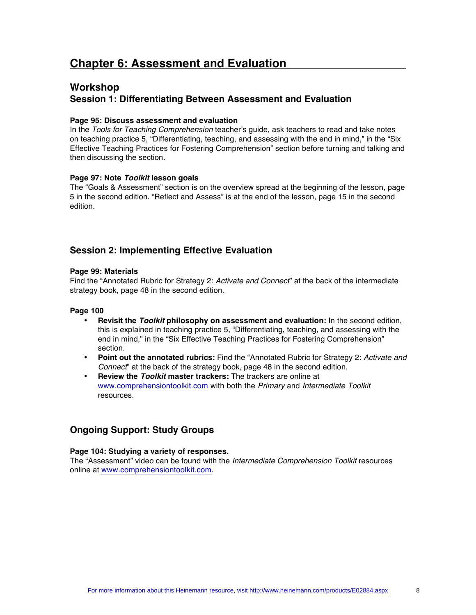# **Chapter 6: Assessment and Evaluation**

# **Workshop Session 1: Differentiating Between Assessment and Evaluation**

### **Page 95: Discuss assessment and evaluation**

In the *Tools for Teaching Comprehension* teacher's guide, ask teachers to read and take notes on teaching practice 5, "Differentiating, teaching, and assessing with the end in mind," in the "Six Effective Teaching Practices for Fostering Comprehension" section before turning and talking and then discussing the section.

### **Page 97: Note** *Toolkit* **lesson goals**

The "Goals & Assessment" section is on the overview spread at the beginning of the lesson, page 5 in the second edition. "Reflect and Assess" is at the end of the lesson, page 15 in the second edition.

## **Session 2: Implementing Effective Evaluation**

### **Page 99: Materials**

Find the "Annotated Rubric for Strategy 2: *Activate and Connect*" at the back of the intermediate strategy book, page 48 in the second edition.

#### **Page 100**

- **Revisit the** *Toolkit* **philosophy on assessment and evaluation:** In the second edition, this is explained in teaching practice 5, "Differentiating, teaching, and assessing with the end in mind," in the "Six Effective Teaching Practices for Fostering Comprehension" section.
- **Point out the annotated rubrics:** Find the "Annotated Rubric for Strategy 2: *Activate and Connect*" at the back of the strategy book, page 48 in the second edition.
- **Review the** *Toolkit* **master trackers:** The trackers are online at [www.comprehensiontoolkit.com](http://www.comprehensiontoolkit.com) with both the *Primary* and *Intermediate Toolkit* resources.

### **Ongoing Support: Study Groups**

### **Page 104: Studying a variety of responses.**

The "Assessment" video can be found with the *Intermediate Comprehension Toolkit* resources online at [www.comprehensiontoolkit.com.](http://www.comprehensiontoolkit.com)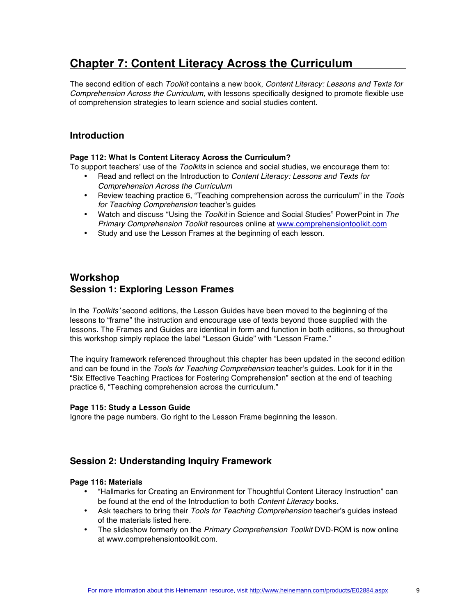# **Chapter 7: Content Literacy Across the Curriculum**

The second edition of each *Toolkit* contains a new book, *Content Literacy: Lessons and Texts for Comprehension Across the Curriculum,* with lessons specifically designed to promote flexible use of comprehension strategies to learn science and social studies content.

## **Introduction**

### **Page 112: What Is Content Literacy Across the Curriculum?**

To support teachers' use of the *Toolkits* in science and social studies, we encourage them to:

- Read and reflect on the Introduction to *Content Literacy: Lessons and Texts for Comprehension Across the Curriculum*
- Review teaching practice 6, "Teaching comprehension across the curriculum" in the *Tools for Teaching Comprehension* teacher's guides
- Watch and discuss "Using the *Toolkit* in Science and Social Studies" PowerPoint in *The Primary Comprehension Toolkit* resources online at [www.comprehensiontoolkit.com](http://www.comprehensiontoolkit.com)
- Study and use the Lesson Frames at the beginning of each lesson.

## **Workshop Session 1: Exploring Lesson Frames**

In the *Toolkits'* second editions, the Lesson Guides have been moved to the beginning of the lessons to "frame" the instruction and encourage use of texts beyond those supplied with the lessons. The Frames and Guides are identical in form and function in both editions, so throughout this workshop simply replace the label "Lesson Guide" with "Lesson Frame."

The inquiry framework referenced throughout this chapter has been updated in the second edition and can be found in the *Tools for Teaching Comprehension* teacher's guides. Look for it in the "Six Effective Teaching Practices for Fostering Comprehension" section at the end of teaching practice 6, "Teaching comprehension across the curriculum."

### **Page 115: Study a Lesson Guide**

Ignore the page numbers. Go right to the Lesson Frame beginning the lesson.

## **Session 2: Understanding Inquiry Framework**

### **Page 116: Materials**

- "Hallmarks for Creating an Environment for Thoughtful Content Literacy Instruction" can be found at the end of the Introduction to both *Content Literacy* books.
- Ask teachers to bring their *Tools for Teaching Comprehension* teacher's guides instead of the materials listed here.
- The slideshow formerly on the *Primary Comprehension Toolkit* DVD-ROM is now online at [www.comprehensiontoolkit.com.](http://www.comprehensiontoolkit.com)